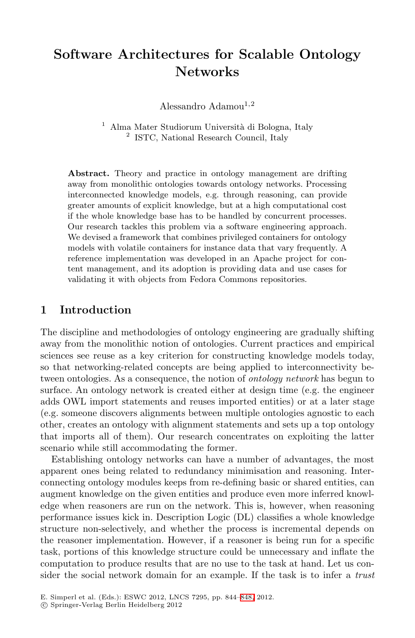# **Software Architectures for Scalable Ontology Networks**

Alessandro Adamou<sup>1,2</sup>

 $1$  Alma Mater Studiorum Università di Bologna, Italy <sup>2</sup> ISTC, National Research Council, Italy

**Abstract.** Theory and practice in ontology management are drifting away from monolithic ontologies towards ontology networks. Processing interconnected knowledge models, e.g. through reasoning, can provide greater amounts of explicit knowledge, but at a high computational cost if the whole knowledge base has to be handled by concurrent processes. Our research tackles this problem via a software engineering approach. We devised a framework that combines privileged containers for ontology models with volatile containers for instance data that vary frequently. A reference implementation was developed in an Apache project for content management, and its adoption is providing data and use cases for validating it with objects from Fedora Commons repositories.

#### **1 Introduction**

The discipline and methodologies of ontology engineering are gradually shifting away from the monolithic notion of ontologies. Current practices and empirical sciences see reuse as a key criterion for constructing knowledge models today, so that networking-related concepts are being applied to interconnectivity between ontologies. As a consequence, the notion of *ontology network* has begun to surface. An ontology network is created either at design time (e.g. the engineer adds OWL import statements and reuses imported entities) or at a later stage (e.g. someone discovers alignments between multiple ontologies agnostic to each other, creates an ontology with alignment statements and sets up a top ontology that imports all of them). Our research concentrates on exploiting the latter scenario while still accommodating the former.

Establishing ontology networks can have a number of advantages, the most apparent ones being related to redundancy minimisation and reasoning. Interconnecting ontology modules keeps from re-defining basic or shared entities, can augment knowledge on the given entities and produce even more inferred knowledge when reasoners are run on the network. This is, however, when reasoning performance issues kick in. Description Logic (DL) classifies a whole knowledge structure non-selectively, and whether the process is incremental depends on the reasoner implementation. However, if a reasoner is being run for a specific task, portions of this knowledge structure could be unnecessary and inflate the computation to produce results that are no use to the task at hand. Let us consider the social network domain for an example. If the task is to infer a *trust*

E. Simperl et al. (Eds.): ESWC 2012, LNCS 7295, pp. 844[–848,](#page-4-0) 2012.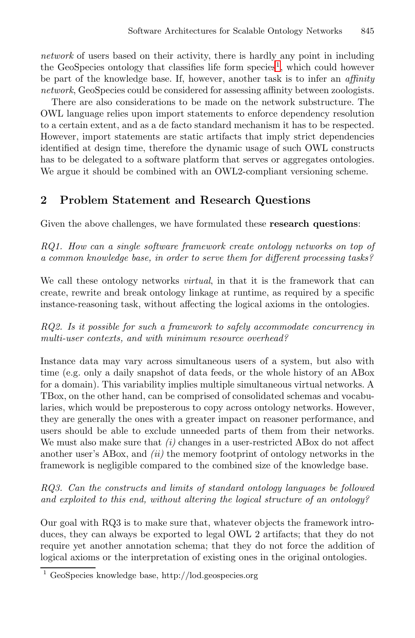*network* of users based on their activity, there is hardly any point in including the GeoSpecies ontology that classifies life form species<sup>[1](#page-1-0)</sup>, which could however be part of the knowledge base. If, however, another task is to infer an *affinity network*, GeoSpecies could be considered for assessing affinity between zoologists.

There are also considerations to be made on the network substructure. The OWL language relies upon import statements to enforce dependency resolution to a certain extent, and as a de facto standard mechanism it has to be respected. However, import statements are static artifacts that imply strict dependencies identified at design time, therefore the dynamic usage of such OWL constructs has to be delegated to a software platform that serves or aggregates ontologies. We argue it should be combined with an OWL2-compliant versioning scheme.

### **2 Problem Statement and Research Questions**

Given the above challenges, we have formulated these **research questions**:

*RQ1. How can a single software framework create ontology networks on top of a common knowledge base, in order to serve them for different processing tasks?*

We call these ontology networks *virtual*, in that it is the framework that can create, rewrite and break ontology linkage at runtime, as required by a specific instance-reasoning task, without affecting the logical axioms in the ontologies.

*RQ2. Is it possible for such a framework to safely accommodate concurrency in multi-user contexts, and with minimum resource overhead?*

Instance data may vary across simultaneous users of a system, but also with time (e.g. only a daily snapshot of data feeds, or the whole history of an ABox for a domain). This variability implies multiple simultaneous virtual networks. A TBox, on the other hand, can be comprised of consolidated schemas and vocabularies, which would be preposterous to copy across ontology networks. However, they are generally the ones with a greater impact on reasoner performance, and users should be able to exclude unneeded parts of them from their networks. We must also make sure that *(i)* changes in a user-restricted ABox do not affect another user's ABox, and *(ii)* the memory footprint of ontology networks in the framework is negligible compared to the combined size of the knowledge base.

<span id="page-1-0"></span>*RQ3. Can the constructs and limits of standard ontology languages be followed and exploited to this end, without altering the logical structure of an ontology?*

Our goal with RQ3 is to make sure that, whatever objects the framework introduces, they can always be exported to legal OWL 2 artifacts; that they do not require yet another annotation schema; that they do not force the addition of logical axioms or the interpretation of existing ones in the original ontologies.

<sup>1</sup> GeoSpecies knowledge base, http://lod.geospecies.org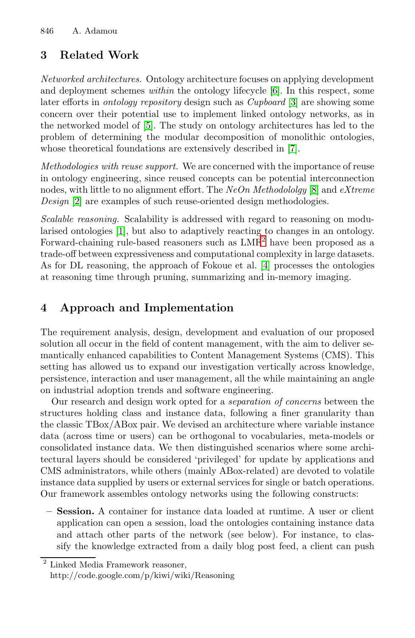# **3 Related Work**

*Networked architectures.* Ontology architecture focuses on applying development and deployment schemes *within* the ontology lifecycle [\[6\]](#page-4-1). In this respect, some later efforts in *ontology repository* design such as *Cupboard* [\[3\]](#page-4-2) are showing some concern over their potential use to implement linked ontology networks, as in the networked model of [\[5\]](#page-4-3). The study on ontology architectures has led to the problem of determining the modular decomposition of monolithic ontologies, whose theoretical foundations are extensively described in [\[7\]](#page-4-4).

*Methodologies with reuse support.* We are concerned with the importance of reuse in ontology engineering, since reused concepts can be potential interconnection nodes, with little to no alignment effort. The *NeOn Methodololgy* [\[8\]](#page-4-5) and *eXtreme Design* [\[2\]](#page-4-6) are examples of such reuse-oriented design methodologies.

*Scalable reasoning.* Scalability is addressed with regard to reasoning on modularised ontologies [\[1\]](#page-4-7), but also to adaptively reacting to changes in an ontology. Forward-chaining rule-based reasoners such as LMF[2](#page-2-0) have been proposed as a trade-off between expressiveness and computational complexity in large datasets. As for DL reasoning, the approach of Fokoue et al. [\[4\]](#page-4-8) processes the ontologies at reasoning time through pruning, summarizing and in-memory imaging.

## **4 Approach and Implementation**

The requirement analysis, design, development and evaluation of our proposed solution all occur in the field of content management, with the aim to deliver semantically enhanced capabilities to Content Management Systems (CMS). This setting has allowed us to expand our investigation vertically across knowledge, persistence, interaction and user management, all the while maintaining an angle on industrial adoption trends and software engineering.

Our research and design work opted for a *separation of concerns* between the structures holding class and instance data, following a finer granularity than the classic TBox/ABox pair. We devised an architecture where variable instance data (across time or users) can be orthogonal to vocabularies, meta-models or consolidated instance data. We then distinguished scenarios where some architectural layers should be considered 'privileged' for update by applications and CMS administrators, while others (mainly ABox-related) are devoted to volatile instance data supplied by users or external services for single or batch operations. Our framework assembles ontology networks using the following constructs:

<span id="page-2-0"></span>**– Session.** A container for instance data loaded at runtime. A user or client application can open a session, load the ontologies containing instance data and attach other parts of the network (see below). For instance, to classify the knowledge extracted from a daily blog post feed, a client can push

<sup>2</sup> Linked Media Framework reasoner, http://code.google.com/p/kiwi/wiki/Reasoning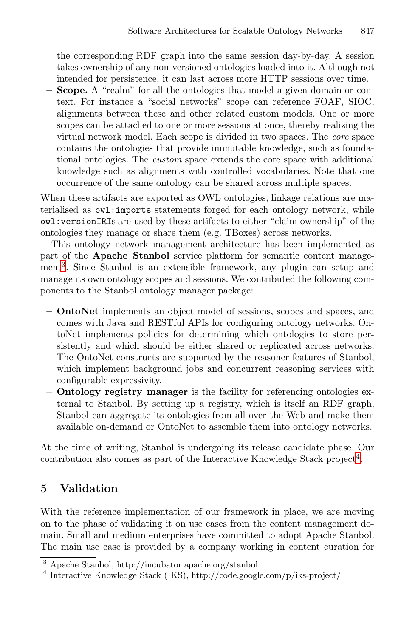the corresponding RDF graph into the same session day-by-day. A session takes ownership of any non-versioned ontologies loaded into it. Although not intended for persistence, it can last across more HTTP sessions over time.

**– Scope.** A "realm" for all the ontologies that model a given domain or context. For instance a "social networks" scope can reference FOAF, SIOC, alignments between these and other related custom models. One or more scopes can be attached to one or more sessions at once, thereby realizing the virtual network model. Each scope is divided in two spaces. The *core* space contains the ontologies that provide immutable knowledge, such as foundational ontologies. The *custom* space extends the core space with additional knowledge such as alignments with controlled vocabularies. Note that one occurrence of the same ontology can be shared across multiple spaces.

When these artifacts are exported as OWL ontologies, linkage relations are materialised as owl:imports statements forged for each ontology network, while owl:versionIRIs are used by these artifacts to either "claim ownership" of the ontologies they manage or share them (e.g. TBoxes) across networks.

This ontology network management architecture has been implemented as part of the **Apache Stanbol** service platform for semantic content management[3](#page-3-0). Since Stanbol is an extensible framework, any plugin can setup and manage its own ontology scopes and sessions. We contributed the following components to the Stanbol ontology manager package:

- **OntoNet** implements an object model of sessions, scopes and spaces, and comes with Java and RESTful APIs for configuring ontology networks. OntoNet implements policies for determining which ontologies to store persistently and which should be either shared or replicated across networks. The OntoNet constructs are supported by the reasoner features of Stanbol, which implement background jobs and concurrent reasoning services with configurable expressivity.
- **Ontology registry manager** is the facility for referencing ontologies external to Stanbol. By setting up a registry, which is itself an RDF graph, Stanbol can aggregate its ontologies from all over the Web and make them available on-demand or OntoNet to assemble them into ontology networks.

At the time of writing, Stanbol is undergoing its release candidate phase. Our contribution also comes as part of the Interactive Knowledge Stack project[4](#page-3-1).

## <span id="page-3-1"></span><span id="page-3-0"></span>**5 Validation**

With the reference implementation of our framework in place, we are moving on to the phase of validating it on use cases from the content management domain. Small and medium enterprises have committed to adopt Apache Stanbol. The main use case is provided by a company working in content curation for

<sup>3</sup> Apache Stanbol, http://incubator.apache.org/stanbol

<sup>4</sup> Interactive Knowledge Stack (IKS), http://code.google.com/p/iks-project/